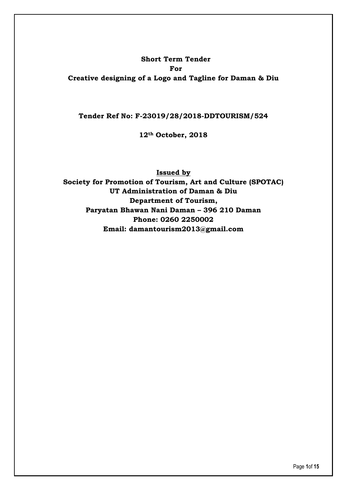#### **Short Term Tender For**

**Creative designing of a Logo and Tagline for Daman & Diu**

**Tender Ref No: F-23019/28/2018-DDTOURISM/524**

**12th October, 2018**

**Issued by Society for Promotion of Tourism, Art and Culture (SPOTAC) UT Administration of Daman & Diu Department of Tourism, Paryatan Bhawan Nani Daman – 396 210 Daman Phone: 0260 2250002 Email: [damantourism2013@gmail.com](mailto:damantourism2013@gmail.com)**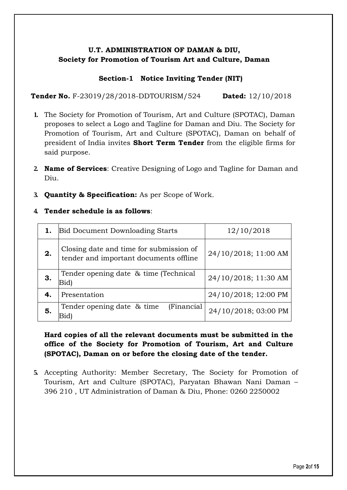# **U.T. ADMINISTRATION OF DAMAN & DIU, Society for Promotion of Tourism Art and Culture, Daman**

## **Section-1 Notice Inviting Tender (NIT)**

**Tender No.** F-23019/28/2018-DDTOURISM/524 **Dated:** 12/10/2018

- **1.** The Society for Promotion of Tourism, Art and Culture (SPOTAC), Daman proposes to select a Logo and Tagline for Daman and Diu. The Society for Promotion of Tourism, Art and Culture (SPOTAC), Daman on behalf of president of India invites **Short Term Tender** from the eligible firms for said purpose.
- **2. Name of Services**: Creative Designing of Logo and Tagline for Daman and Diu.
- **3. Quantity & Specification:** As per Scope of Work.

### **4. Tender schedule is as follows**:

|    | <b>Bid Document Downloading Starts</b>                                            | 12/10/2018           |
|----|-----------------------------------------------------------------------------------|----------------------|
| 2. | Closing date and time for submission of<br>tender and important documents offline | 24/10/2018; 11:00 AM |
| 3. | Tender opening date & time (Technical<br>Bid)                                     | 24/10/2018; 11:30 AM |
| 4. | Presentation                                                                      | 24/10/2018; 12:00 PM |
| 5. | Tender opening date & time<br>(Financial)<br>Bid)                                 | 24/10/2018; 03:00 PM |

# **Hard copies of all the relevant documents must be submitted in the office of the Society for Promotion of Tourism, Art and Culture (SPOTAC), Daman on or before the closing date of the tender.**

**5.** Accepting Authority: Member Secretary, The Society for Promotion of Tourism, Art and Culture (SPOTAC), Paryatan Bhawan Nani Daman – 396 210 , UT Administration of Daman & Diu, Phone: 0260 2250002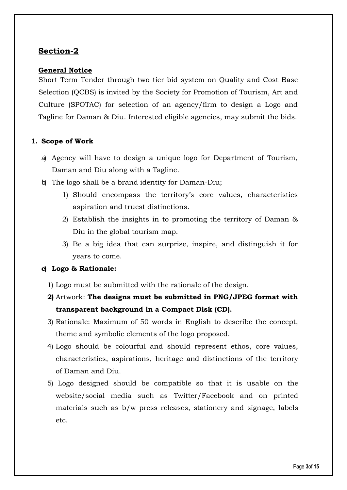# **Section-2**

## **General Notice**

Short Term Tender through two tier bid system on Quality and Cost Base Selection (QCBS) is invited by the Society for Promotion of Tourism, Art and Culture (SPOTAC) for selection of an agency/firm to design a Logo and Tagline for Daman & Diu. Interested eligible agencies, may submit the bids.

## **1. Scope of Work**

- a) Agency will have to design a unique logo for Department of Tourism, Daman and Diu along with a Tagline.
- b) The logo shall be a brand identity for Daman-Diu;
	- 1) Should encompass the territory's core values, characteristics aspiration and truest distinctions.
	- 2) Establish the insights in to promoting the territory of Daman & Diu in the global tourism map.
	- 3) Be a big idea that can surprise, inspire, and distinguish it for years to come.

## **c) Logo & Rationale:**

- 1) Logo must be submitted with the rationale of the design.
- **2)** Artwork: **The designs must be submitted in PNG/JPEG format with transparent background in a Compact Disk (CD).**
- 3) Rationale: Maximum of 50 words in English to describe the concept, theme and symbolic elements of the logo proposed.
- 4) Logo should be colourful and should represent ethos, core values, characteristics, aspirations, heritage and distinctions of the territory of Daman and Diu.
- 5) Logo designed should be compatible so that it is usable on the website/social media such as Twitter/Facebook and on printed materials such as b/w press releases, stationery and signage, labels etc.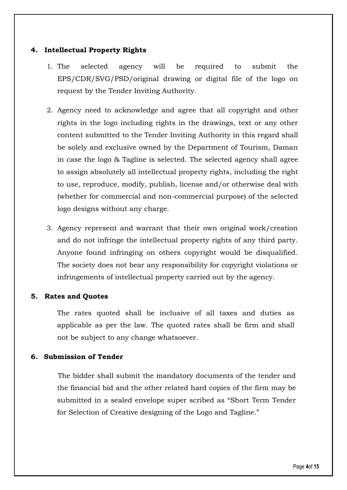### **4. Intellectual Property Rights**

- 1. The selected agency will be required to submit the EPS/CDR/SVG/PSD/original drawing or digital file of the logo on request by the Tender Inviting Authority.
- 2. Agency need to acknowledge and agree that all copyright and other rights in the logo including rights in the drawings, text or any other content submitted to the Tender Inviting Authority in this regard shall be solely and exclusive owned by the Department of Tourism, Daman in case the logo & Tagline is selected. The selected agency shall agree to assign absolutely all intellectual property rights, including the right to use, reproduce, modify, publish, license and/or otherwise deal with (whether for commercial and non-commercial purpose) of the selected logo designs without any charge.
- 3. Agency represent and warrant that their own original work/creation and do not infringe the intellectual property rights of any third party. Anyone found infringing on others copyright would be disqualified. The society does not bear any responsibility for copyright violations or infringements of intellectual property carried out by the agency.

### **5. Rates and Quotes**

The rates quoted shall be inclusive of all taxes and duties as applicable as per the law. The quoted rates shall be firm and shall not be subject to any change whatsoever.

### **6. Submission of Tender**

The bidder shall submit the mandatory documents of the tender and the financial bid and the other related hard copies of the firm may be submitted in a sealed envelope super scribed as "Short Term Tender for Selection of Creative designing of the Logo and Tagline."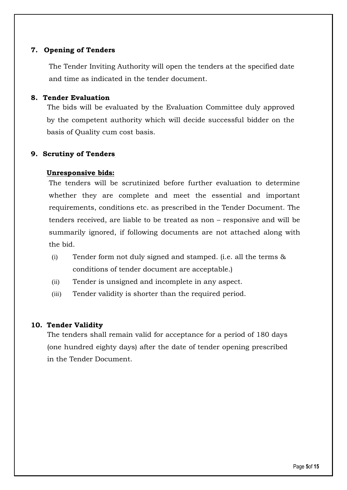## **7. Opening of Tenders**

The Tender Inviting Authority will open the tenders at the specified date and time as indicated in the tender document.

#### **8. Tender Evaluation**

The bids will be evaluated by the Evaluation Committee duly approved by the competent authority which will decide successful bidder on the basis of Quality cum cost basis.

## **9. Scrutiny of Tenders**

## **Unresponsive bids:**

The tenders will be scrutinized before further evaluation to determine whether they are complete and meet the essential and important requirements, conditions etc. as prescribed in the Tender Document. The tenders received, are liable to be treated as non – responsive and will be summarily ignored, if following documents are not attached along with the bid.

- (i) Tender form not duly signed and stamped. (i.e. all the terms & conditions of tender document are acceptable.)
- (ii) Tender is unsigned and incomplete in any aspect.
- (iii) Tender validity is shorter than the required period.

### **10. Tender Validity**

The tenders shall remain valid for acceptance for a period of 180 days (one hundred eighty days) after the date of tender opening prescribed in the Tender Document.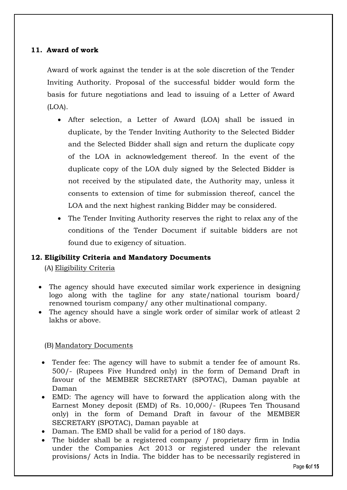## **11. Award of work**

Award of work against the tender is at the sole discretion of the Tender Inviting Authority. Proposal of the successful bidder would form the basis for future negotiations and lead to issuing of a Letter of Award (LOA).

- After selection, a Letter of Award (LOA) shall be issued in duplicate, by the Tender Inviting Authority to the Selected Bidder and the Selected Bidder shall sign and return the duplicate copy of the LOA in acknowledgement thereof. In the event of the duplicate copy of the LOA duly signed by the Selected Bidder is not received by the stipulated date, the Authority may, unless it consents to extension of time for submission thereof, cancel the LOA and the next highest ranking Bidder may be considered.
- The Tender Inviting Authority reserves the right to relax any of the conditions of the Tender Document if suitable bidders are not found due to exigency of situation.

## **12. Eligibility Criteria and Mandatory Documents**

(A) Eligibility Criteria

- The agency should have executed similar work experience in designing logo along with the tagline for any state/national tourism board/ renowned tourism company/ any other multinational company.
- The agency should have a single work order of similar work of atleast 2 lakhs or above.

### (B) Mandatory Documents

- Tender fee: The agency will have to submit a tender fee of amount Rs. 500/- (Rupees Five Hundred only) in the form of Demand Draft in favour of the MEMBER SECRETARY (SPOTAC), Daman payable at Daman
- EMD: The agency will have to forward the application along with the Earnest Money deposit (EMD) of Rs. 10,000/- (Rupees Ten Thousand only) in the form of Demand Draft in favour of the MEMBER SECRETARY (SPOTAC), Daman payable at
- Daman. The EMD shall be valid for a period of 180 days.
- The bidder shall be a registered company / proprietary firm in India under the Companies Act 2013 or registered under the relevant provisions/ Acts in India. The bidder has to be necessarily registered in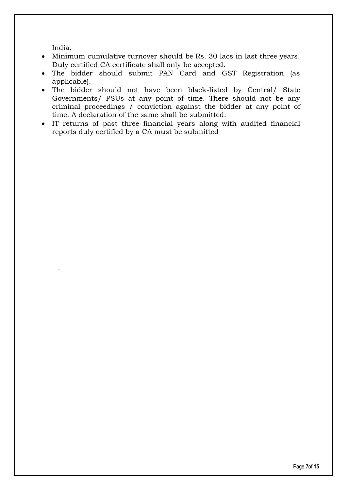India.

-

- Minimum cumulative turnover should be Rs. 30 lacs in last three years. Duly certified CA certificate shall only be accepted.
- The bidder should submit PAN Card and GST Registration (as applicable).
- The bidder should not have been black-listed by Central/ State Governments/ PSUs at any point of time. There should not be any criminal proceedings / conviction against the bidder at any point of time. A declaration of the same shall be submitted.
- IT returns of past three financial years along with audited financial reports duly certified by a CA must be submitted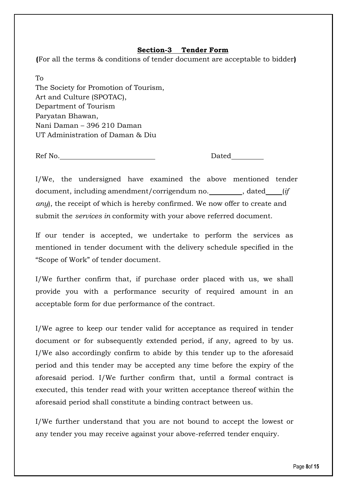# **Section-3 Tender Form**

**(**For all the terms & conditions of tender document are acceptable to bidder**)**

To The Society for Promotion of Tourism, Art and Culture (SPOTAC), Department of Tourism Paryatan Bhawan, Nani Daman – 396 210 Daman UT Administration of Daman & Diu

Ref No. Dated

I/We, the undersigned have examined the above mentioned tender document, including amendment/corrigendum no. , dated (*if any*), the receipt of which is hereby confirmed. We now offer to create and submit the *services in* conformity with your above referred document.

If our tender is accepted, we undertake to perform the services as mentioned in tender document with the delivery schedule specified in the "Scope of Work" of tender document.

I/We further confirm that, if purchase order placed with us, we shall provide you with a performance security of required amount in an acceptable form for due performance of the contract.

I/We agree to keep our tender valid for acceptance as required in tender document or for subsequently extended period, if any, agreed to by us. I/We also accordingly confirm to abide by this tender up to the aforesaid period and this tender may be accepted any time before the expiry of the aforesaid period. I/We further confirm that, until a formal contract is executed, this tender read with your written acceptance thereof within the aforesaid period shall constitute a binding contract between us.

I/We further understand that you are not bound to accept the lowest or any tender you may receive against your above-referred tender enquiry.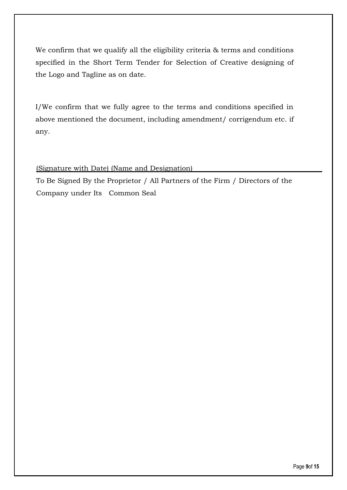We confirm that we qualify all the eligibility criteria & terms and conditions specified in the Short Term Tender for Selection of Creative designing of the Logo and Tagline as on date.

I/We confirm that we fully agree to the terms and conditions specified in above mentioned the document, including amendment/ corrigendum etc. if any.

(Signature with Date) (Name and Designation)

To Be Signed By the Proprietor / All Partners of the Firm / Directors of the Company under Its Common Seal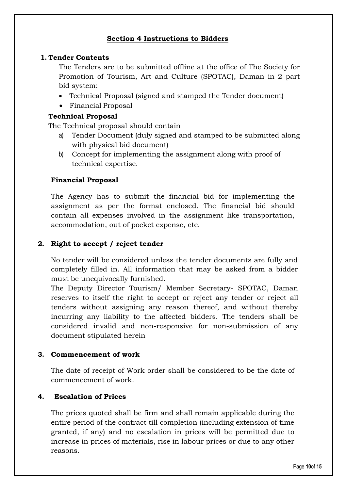## **Section 4 Instructions to Bidders**

## **1. Tender Contents**

The Tenders are to be submitted offline at the office of The Society for Promotion of Tourism, Art and Culture (SPOTAC), Daman in 2 part bid system:

- Technical Proposal (signed and stamped the Tender document)
- Financial Proposal

## **Technical Proposal**

The Technical proposal should contain

- a) Tender Document (duly signed and stamped to be submitted along with physical bid document)
- b) Concept for implementing the assignment along with proof of technical expertise.

## **Financial Proposal**

The Agency has to submit the financial bid for implementing the assignment as per the format enclosed. The financial bid should contain all expenses involved in the assignment like transportation, accommodation, out of pocket expense, etc.

## **2. Right to accept / reject tender**

No tender will be considered unless the tender documents are fully and completely filled in. All information that may be asked from a bidder must be unequivocally furnished.

The Deputy Director Tourism/ Member Secretary- SPOTAC, Daman reserves to itself the right to accept or reject any tender or reject all tenders without assigning any reason thereof, and without thereby incurring any liability to the affected bidders. The tenders shall be considered invalid and non-responsive for non-submission of any document stipulated herein

## **3. Commencement of work**

The date of receipt of Work order shall be considered to be the date of commencement of work.

## **4. Escalation of Prices**

The prices quoted shall be firm and shall remain applicable during the entire period of the contract till completion (including extension of time granted, if any) and no escalation in prices will be permitted due to increase in prices of materials, rise in labour prices or due to any other reasons.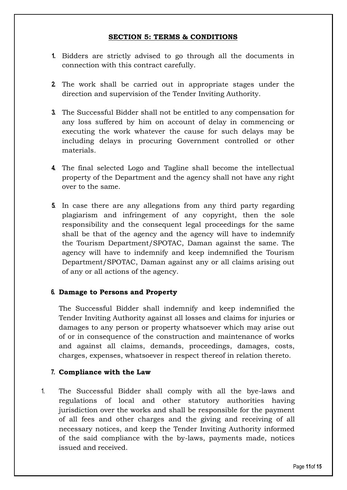## **SECTION 5: TERMS & CONDITIONS**

- **1.** Bidders are strictly advised to go through all the documents in connection with this contract carefully.
- **2.** The work shall be carried out in appropriate stages under the direction and supervision of the Tender Inviting Authority.
- **3.** The Successful Bidder shall not be entitled to any compensation for any loss suffered by him on account of delay in commencing or executing the work whatever the cause for such delays may be including delays in procuring Government controlled or other materials.
- **4.** The final selected Logo and Tagline shall become the intellectual property of the Department and the agency shall not have any right over to the same.
- **5.** In case there are any allegations from any third party regarding plagiarism and infringement of any copyright, then the sole responsibility and the consequent legal proceedings for the same shall be that of the agency and the agency will have to indemnify the Tourism Department/SPOTAC, Daman against the same. The agency will have to indemnify and keep indemnified the Tourism Department/SPOTAC, Daman against any or all claims arising out of any or all actions of the agency.

## **6. Damage to Persons and Property**

The Successful Bidder shall indemnify and keep indemnified the Tender Inviting Authority against all losses and claims for injuries or damages to any person or property whatsoever which may arise out of or in consequence of the construction and maintenance of works and against all claims, demands, proceedings, damages, costs, charges, expenses, whatsoever in respect thereof in relation thereto.

### **7. Compliance with the Law**

1. The Successful Bidder shall comply with all the bye-laws and regulations of local and other statutory authorities having jurisdiction over the works and shall be responsible for the payment of all fees and other charges and the giving and receiving of all necessary notices, and keep the Tender Inviting Authority informed of the said compliance with the by-laws, payments made, notices issued and received.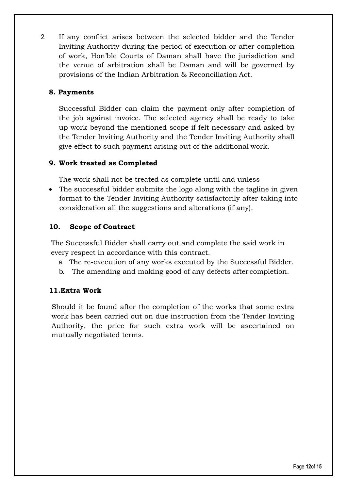2. If any conflict arises between the selected bidder and the Tender Inviting Authority during the period of execution or after completion of work, Hon'ble Courts of Daman shall have the jurisdiction and the venue of arbitration shall be Daman and will be governed by provisions of the Indian Arbitration & Reconciliation Act.

## **8. Payments**

Successful Bidder can claim the payment only after completion of the job against invoice. The selected agency shall be ready to take up work beyond the mentioned scope if felt necessary and asked by the Tender Inviting Authority and the Tender Inviting Authority shall give effect to such payment arising out of the additional work.

# **9. Work treated as Completed**

The work shall not be treated as complete until and unless

 The successful bidder submits the logo along with the tagline in given format to the Tender Inviting Authority satisfactorily after taking into consideration all the suggestions and alterations (if any).

# **10. Scope of Contract**

The Successful Bidder shall carry out and complete the said work in every respect in accordance with this contract.

- a. The re-execution of any works executed by the Successful Bidder.
- b. The amending and making good of any defects after completion.

## **11.Extra Work**

Should it be found after the completion of the works that some extra work has been carried out on due instruction from the Tender Inviting Authority, the price for such extra work will be ascertained on mutually negotiated terms.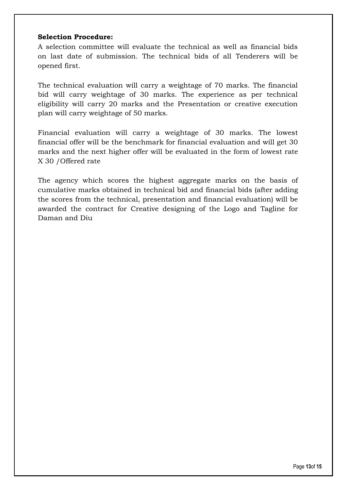### **Selection Procedure:**

A selection committee will evaluate the technical as well as financial bids on last date of submission. The technical bids of all Tenderers will be opened first.

The technical evaluation will carry a weightage of 70 marks. The financial bid will carry weightage of 30 marks. The experience as per technical eligibility will carry 20 marks and the Presentation or creative execution plan will carry weightage of 50 marks.

Financial evaluation will carry a weightage of 30 marks. The lowest financial offer will be the benchmark for financial evaluation and will get 30 marks and the next higher offer will be evaluated in the form of lowest rate X 30 /Offered rate

The agency which scores the highest aggregate marks on the basis of cumulative marks obtained in technical bid and financial bids (after adding the scores from the technical, presentation and financial evaluation) will be awarded the contract for Creative designing of the Logo and Tagline for Daman and Diu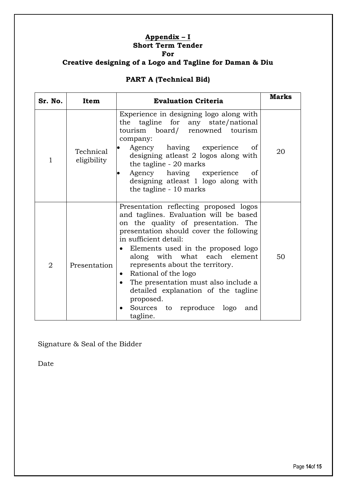#### **Appendix – I Short Term Tender For**

# **Creative designing of a Logo and Tagline for Daman & Diu**

# **PART A (Technical Bid)**

| Sr. No.        | Item                     | <b>Evaluation Criteria</b>                                                                                                                                                                                                                                                                                                                                                                                                                                                                                      | <b>Marks</b> |
|----------------|--------------------------|-----------------------------------------------------------------------------------------------------------------------------------------------------------------------------------------------------------------------------------------------------------------------------------------------------------------------------------------------------------------------------------------------------------------------------------------------------------------------------------------------------------------|--------------|
| $\mathbf{1}$   | Technical<br>eligibility | Experience in designing logo along with<br>the tagline for any state/national<br>tourism board/ renowned tourism<br>company:<br>Agency having experience<br>οf<br>$\bullet$<br>designing atleast 2 logos along with<br>the tagline - 20 marks<br>Agency having experience<br>οf<br>$\bullet$<br>designing atleast 1 logo along with<br>the tagline - 10 marks                                                                                                                                                   | 20           |
| $\overline{2}$ | Presentation             | Presentation reflecting proposed logos<br>and taglines. Evaluation will be based<br>on the quality of presentation. The<br>presentation should cover the following<br>in sufficient detail:<br>Elements used in the proposed logo<br>$\bullet$<br>along with what each element<br>represents about the territory.<br>Rational of the logo<br>$\bullet$<br>The presentation must also include a<br>$\bullet$<br>detailed explanation of the tagline<br>proposed.<br>Sources to reproduce logo<br>and<br>tagline. | 50           |

Signature & Seal of the Bidder

Date